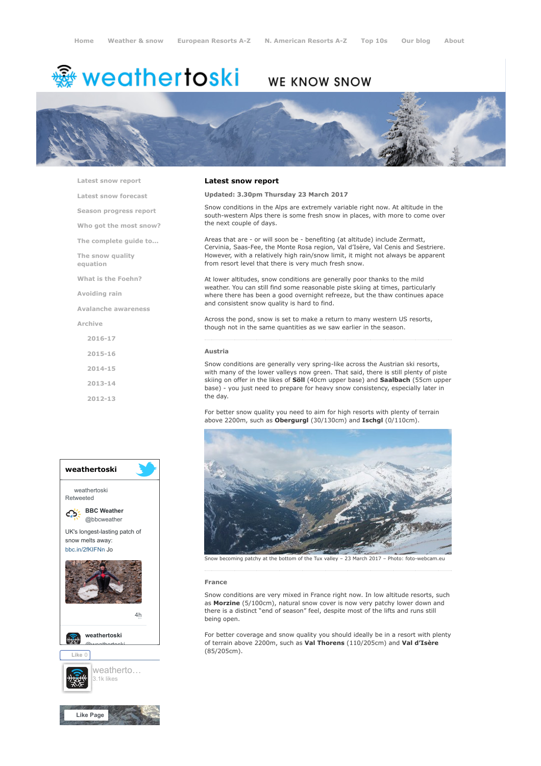# <del>鑾</del> weathertoski

## WE KNOW SNOW



[Latest snow report](https://www.weathertoski.co.uk/weather-snow/latest-snow-report/)

[Latest snow forecast](https://www.weathertoski.co.uk/weather-snow/latest-snow-forecast/)

[Season progress report](https://www.weathertoski.co.uk/weather-snow/season-progress-report/)

[Who got the most snow?](https://www.weathertoski.co.uk/weather-snow/who-got-the-most-snow/)

[The complete guide to...](https://www.weathertoski.co.uk/weather-snow/the-complete-guide-to/)

[The snow quality](https://www.weathertoski.co.uk/weather-snow/the-snow-quality-equation/)

[What is the Foehn?](https://www.weathertoski.co.uk/weather-snow/what-is-the-foehn/)

[Avoiding rain](https://www.weathertoski.co.uk/weather-snow/avoiding-rain/)

equation

[Avalanche awareness](https://www.weathertoski.co.uk/weather-snow/avalanche-awareness/)

[Archive](https://www.weathertoski.co.uk/weather-snow/archive/)

[2016-17](https://www.weathertoski.co.uk/weather-snow/archive/2016-17/) [2015-16](https://www.weathertoski.co.uk/weather-snow/archive/2015-16/) [2014-15](https://www.weathertoski.co.uk/weather-snow/archive/2014-15/)

[2013-14](https://www.weathertoski.co.uk/weather-snow/archive/2013-14/)

[2012-13](https://www.weathertoski.co.uk/weather-snow/archive/2012-13/)



### Latest snow report

Updated: 3.30pm Thursday 23 March 2017

Snow conditions in the Alps are extremely variable right now. At altitude in the south-western Alps there is some fresh snow in places, with more to come over the next couple of days.

Areas that are - or will soon be - benefiting (at altitude) include Zermatt, Cervinia, Saas-Fee, the Monte Rosa region, Val d'Isère, Val Cenis and Sestriere. However, with a relatively high rain/snow limit, it might not always be apparent from resort level that there is very much fresh snow.

At lower altitudes, snow conditions are generally poor thanks to the mild weather. You can still find some reasonable piste skiing at times, particularly where there has been a good overnight refreeze, but the thaw continues apace and consistent snow quality is hard to find.

Across the pond, snow is set to make a return to many western US resorts, though not in the same quantities as we saw earlier in the season.

#### Austria

Snow conditions are generally very spring-like across the Austrian ski resorts, with many of the lower valleys now green. That said, there is still plenty of piste skiing on offer in the likes of Söll (40cm upper base) and Saalbach (55cm upper base) - you just need to prepare for heavy snow consistency, especially later in the day.

For better snow quality you need to aim for high resorts with plenty of terrain above 2200m, such as Obergurgl (30/130cm) and Ischgl (0/110cm).



Snow becoming patchy at the bottom of the Tux valley – 23 March 2017 – Photo: foto-webcam.eu

#### France

Snow conditions are very mixed in France right now. In low altitude resorts, such as Morzine (5/100cm), natural snow cover is now very patchy lower down and there is a distinct "end of season" feel, despite most of the lifts and runs still being open.

For better coverage and snow quality you should ideally be in a resort with plenty of terrain above 2200m, such as Val Thorens (110/205cm) and Val d'Isère (85/205cm).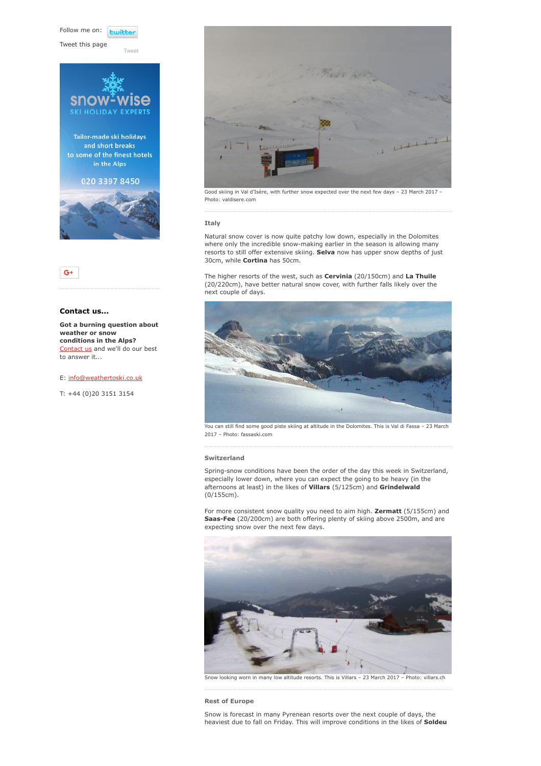Follow me on: **Luitt** 

[Tweet](https://twitter.com/intent/tweet?original_referer=https%3A%2F%2Fwww.weathertoski.co.uk%2Fweather-snow%2Farchive%2Fsnow-report-23-03-2017%2F&ref_src=twsrc%5Etfw&text=Weather%20to%20ski%20-%20Snow%20report%20-%2023%20March%202017&tw_p=tweetbutton&url=https%3A%2F%2Fwww.weathertoski.co.uk%2Fweather-snow%2Farchive%2Fsnow-report-23-03-2017%2F)

Tweet this page



 $G+$ 

#### Contact us...

Got a burning question about weather or snow conditions in the Alps? [Contact us](https://www.weathertoski.co.uk/about-1/contact-us/) and we'll do our best to answer it...

#### E: [info@weathertoski.co.uk](mailto:fraser@weathertoski.co.uk)

T: +44 (0)20 3151 3154



Good skiing in Val d'Isère, with further snow expected over the next few days – 23 March 2017 – Photo: valdisere.com

#### Italy

Natural snow cover is now quite patchy low down, especially in the Dolomites where only the incredible snow-making earlier in the season is allowing many resorts to still offer extensive skiing. Selva now has upper snow depths of just 30cm, while Cortina has 50cm.

The higher resorts of the west, such as **Cervinia** (20/150cm) and La Thuile (20/220cm), have better natural snow cover, with further falls likely over the next couple of days.



You can still find some good piste skiing at altitude in the Dolomites. This is Val di Fassa – 23 March 2017 – Photo: fassaski.com

#### Switzerland

Spring-snow conditions have been the order of the day this week in Switzerland, especially lower down, where you can expect the going to be heavy (in the afternoons at least) in the likes of Villars (5/125cm) and Grindelwald (0/155cm).

For more consistent snow quality you need to aim high. Zermatt (5/155cm) and Saas-Fee (20/200cm) are both offering plenty of skiing above 2500m, and are expecting snow over the next few days.



Snow looking worn in many low altitude resorts. This is Villars – 23 March 2017 – Photo: villars.ch

#### Rest of Europe

Snow is forecast in many Pyrenean resorts over the next couple of days, the heaviest due to fall on Friday. This will improve conditions in the likes of Soldeu